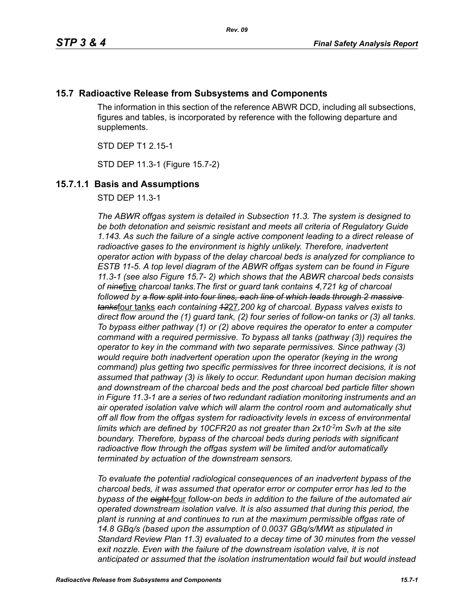# **15.7 Radioactive Release from Subsystems and Components**

The information in this section of the reference ABWR DCD, including all subsections, figures and tables, is incorporated by reference with the following departure and supplements.

STD DEP T1 2.15-1

STD DEP 11.3-1 (Figure 15.7-2)

# **15.7.1.1 Basis and Assumptions**

STD DEP 11.3-1

*The ABWR offgas system is detailed in Subsection 11.3. The system is designed to be both detonation and seismic resistant and meets all criteria of Regulatory Guide 1.143. As such the failure of a single active component leading to a direct release of radioactive gases to the environment is highly unlikely. Therefore, inadvertent operator action with bypass of the delay charcoal beds is analyzed for compliance to ESTB 11-5. A top level diagram of the ABWR offgas system can be found in Figure 11.3-1 (see also Figure 15.7- 2) which shows that the ABWR charcoal beds consists of nine*five *charcoal tanks.The first or guard tank contains 4,721 kg of charcoal followed by a flow split into four lines, each line of which leads through 2 massive tanks*four tanks *each containing 12*27*,200 kg of charcoal. Bypass valves exists to direct flow around the (1) guard tank, (2) four series of follow-on tanks or (3) all tanks. To bypass either pathway (1) or (2) above requires the operator to enter a computer command with a required permissive. To bypass all tanks (pathway (3)) requires the operator to key in the command with two separate permissives. Since pathway (3) would require both inadvertent operation upon the operator (keying in the wrong command) plus getting two specific permissives for three incorrect decisions, it is not assumed that pathway (3) is likely to occur. Redundant upon human decision making and downstream of the charcoal beds and the post charcoal bed particle filter shown in Figure 11.3-1 are a series of two redundant radiation monitoring instruments and an air operated isolation valve which will alarm the control room and automatically shut off all flow from the offgas system for radioactivity levels in excess of environmental*  limits which are defined by 10CFR20 as not greater than 2x10<sup>-2</sup>m Sv/h at the site *boundary. Therefore, bypass of the charcoal beds during periods with significant radioactive flow through the offgas system will be limited and/or automatically terminated by actuation of the downstream sensors.* 

*To evaluate the potential radiological consequences of an inadvertent bypass of the charcoal beds, it was assumed that operator error or computer error has led to the bypass of the eight* four *follow-on beds in addition to the failure of the automated air operated downstream isolation valve. It is also assumed that during this period, the plant is running at and continues to run at the maximum permissible offgas rate of 14.8 GBq/s (based upon the assumption of 0.0037 GBq/s/MWt as stipulated in Standard Review Plan 11.3) evaluated to a decay time of 30 minutes from the vessel*  exit nozzle. Even with the failure of the downstream isolation valve, it is not *anticipated or assumed that the isolation instrumentation would fail but would instead*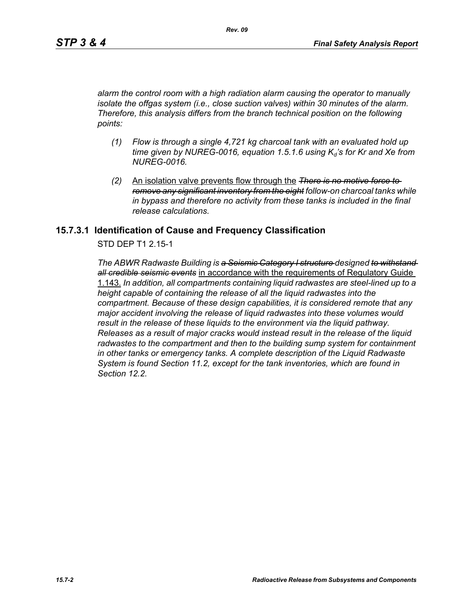*alarm the control room with a high radiation alarm causing the operator to manually isolate the offgas system (i.e., close suction valves) within 30 minutes of the alarm. Therefore, this analysis differs from the branch technical position on the following points:*

- *(1) Flow is through a single 4,721 kg charcoal tank with an evaluated hold up*   $time$  given by NUREG-0016, equation 1.5.1.6 using  $K_d$ 's for Kr and Xe from *NUREG-0016.*
- *(2)* An isolation valve prevents flow through the *There is no motive force to remove any significant inventory from the eight follow-on charcoal tanks while in bypass and therefore no activity from these tanks is included in the final release calculations.*

### **15.7.3.1 Identification of Cause and Frequency Classification**

STD DEP T1 2.15-1

*The ABWR Radwaste Building is a Seismic Category I structure designed to withstand all credible seismic events* in accordance with the requirements of Regulatory Guide 1.143. *In addition, all compartments containing liquid radwastes are steel-lined up to a height capable of containing the release of all the liquid radwastes into the compartment. Because of these design capabilities, it is considered remote that any major accident involving the release of liquid radwastes into these volumes would result in the release of these liquids to the environment via the liquid pathway. Releases as a result of major cracks would instead result in the release of the liquid radwastes to the compartment and then to the building sump system for containment in other tanks or emergency tanks. A complete description of the Liquid Radwaste System is found Section 11.2, except for the tank inventories, which are found in Section 12.2.*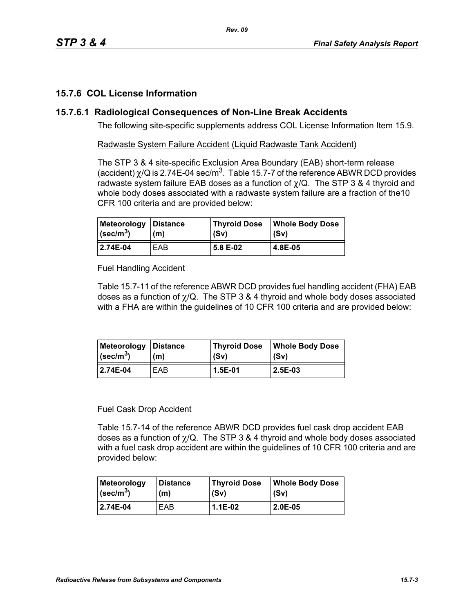# **15.7.6 COL License Information**

### **15.7.6.1 Radiological Consequences of Non-Line Break Accidents**

The following site-specific supplements address COL License Information Item 15.9.

Radwaste System Failure Accident (Liquid Radwaste Tank Accident)

The STP 3 & 4 site-specific Exclusion Area Boundary (EAB) short-term release (accident)  $\chi$ /Q is 2.74E-04 sec/m<sup>3</sup>. Table 15.7-7 of the reference ABWR DCD provides radwaste system failure EAB doses as a function of  $\chi$ /Q. The STP 3 & 4 thyroid and whole body doses associated with a radwaste system failure are a fraction of the10 CFR 100 criteria and are provided below:

| Meteorology Distance          | (m) | <b>Thyroid Dose</b> | <b>Whole Body Dose</b> |
|-------------------------------|-----|---------------------|------------------------|
| $\vert$ (sec/m <sup>3</sup> ) |     | (Sv)                | (Sv)                   |
| 2.74E-04                      | EAB | 5.8 E-02            | 4.8E-05                |

### Fuel Handling Accident

Table 15.7-11 of the reference ABWR DCD provides fuel handling accident (FHA) EAB doses as a function of  $\chi$ /Q. The STP 3 & 4 thyroid and whole body doses associated with a FHA are within the guidelines of 10 CFR 100 criteria and are provided below:

| Meteorology   Distance  | (m) | Thyroid Dose | <b>Whole Body Dose</b> |
|-------------------------|-----|--------------|------------------------|
| $\sqrt{\text{sec/m}^3}$ |     | (Sv)         | (Sv)                   |
| 2.74E-04                | EAB | 1.5E-01      | 2.5E-03                |

#### Fuel Cask Drop Accident

Table 15.7-14 of the reference ABWR DCD provides fuel cask drop accident EAB doses as a function of  $\chi$ /Q. The STP 3 & 4 thyroid and whole body doses associated with a fuel cask drop accident are within the quidelines of 10 CFR 100 criteria and are provided below:

| <b>Meteorology</b>        | <b>Distance</b> | <b>Thyroid Dose</b> | Whole Body Dose |
|---------------------------|-----------------|---------------------|-----------------|
| $ $ (sec/m <sup>3</sup> ) | (m)             | (Sv)                | (Sv)            |
| 2.74E-04                  | EAB             | $1.1E-02$           | 2.0E-05         |